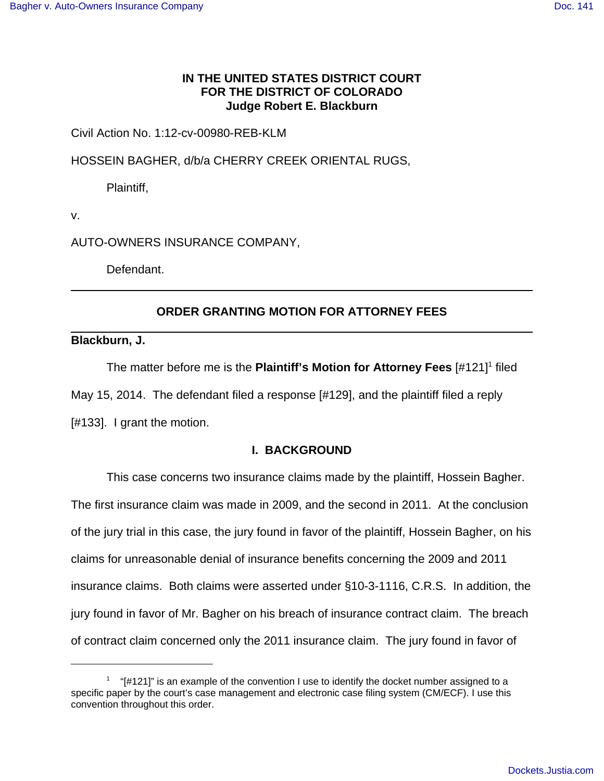# **IN THE UNITED STATES DISTRICT COURT FOR THE DISTRICT OF COLORADO Judge Robert E. Blackburn**

## Civil Action No. 1:12-cv-00980-REB-KLM

HOSSEIN BAGHER, d/b/a CHERRY CREEK ORIENTAL RUGS,

Plaintiff,

v.

AUTO-OWNERS INSURANCE COMPANY,

Defendant.

# **ORDER GRANTING MOTION FOR ATTORNEY FEES**

**Blackburn, J.**

The matter before me is the Plaintiff's Motion for Attorney Fees [#121]<sup>1</sup> filed May 15, 2014. The defendant filed a response [#129], and the plaintiff filed a reply [#133]. I grant the motion.

# **I. BACKGROUND**

This case concerns two insurance claims made by the plaintiff, Hossein Bagher. The first insurance claim was made in 2009, and the second in 2011. At the conclusion of the jury trial in this case, the jury found in favor of the plaintiff, Hossein Bagher, on his claims for unreasonable denial of insurance benefits concerning the 2009 and 2011 insurance claims. Both claims were asserted under §10-3-1116, C.R.S. In addition, the jury found in favor of Mr. Bagher on his breach of insurance contract claim. The breach of contract claim concerned only the 2011 insurance claim. The jury found in favor of

 $1$  "[#121]" is an example of the convention I use to identify the docket number assigned to a specific paper by the court's case management and electronic case filing system (CM/ECF). I use this convention throughout this order.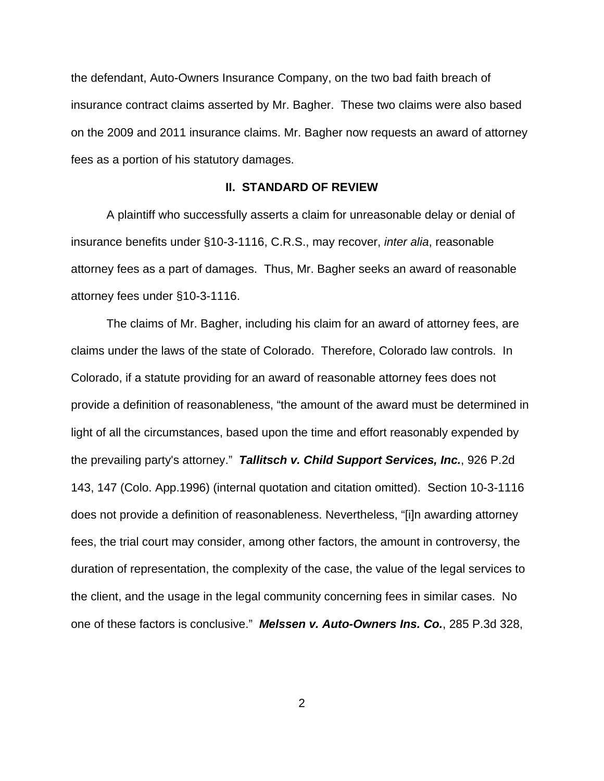the defendant, Auto-Owners Insurance Company, on the two bad faith breach of insurance contract claims asserted by Mr. Bagher. These two claims were also based on the 2009 and 2011 insurance claims. Mr. Bagher now requests an award of attorney fees as a portion of his statutory damages.

### **II. STANDARD OF REVIEW**

A plaintiff who successfully asserts a claim for unreasonable delay or denial of insurance benefits under §10-3-1116, C.R.S., may recover, inter alia, reasonable attorney fees as a part of damages. Thus, Mr. Bagher seeks an award of reasonable attorney fees under §10-3-1116.

The claims of Mr. Bagher, including his claim for an award of attorney fees, are claims under the laws of the state of Colorado. Therefore, Colorado law controls. In Colorado, if a statute providing for an award of reasonable attorney fees does not provide a definition of reasonableness, "the amount of the award must be determined in light of all the circumstances, based upon the time and effort reasonably expended by the prevailing party's attorney." **Tallitsch v. Child Support Services, Inc.**, 926 P.2d 143, 147 (Colo. App.1996) (internal quotation and citation omitted). Section 10-3-1116 does not provide a definition of reasonableness. Nevertheless, "[i]n awarding attorney fees, the trial court may consider, among other factors, the amount in controversy, the duration of representation, the complexity of the case, the value of the legal services to the client, and the usage in the legal community concerning fees in similar cases. No one of these factors is conclusive." **Melssen v. Auto-Owners Ins. Co.**, 285 P.3d 328,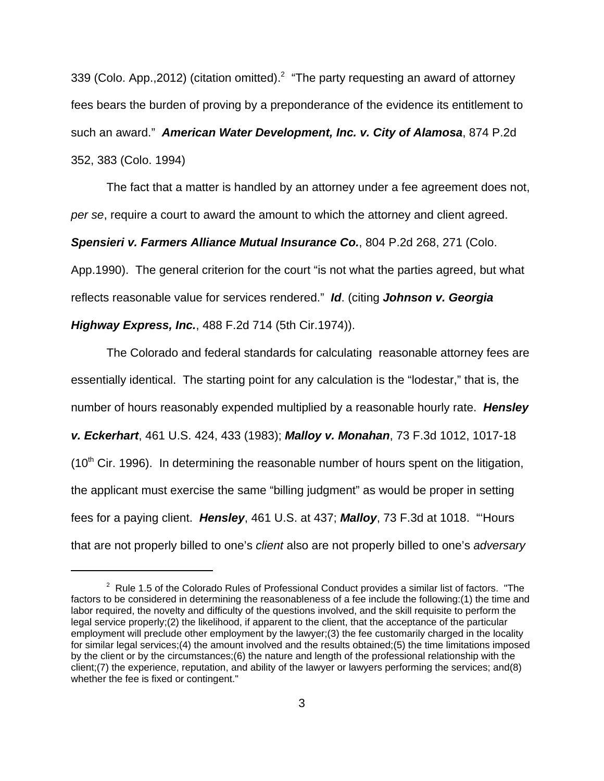339 (Colo. App., 2012) (citation omitted).<sup>2</sup> "The party requesting an award of attorney fees bears the burden of proving by a preponderance of the evidence its entitlement to such an award." **American Water Development, Inc. v. City of Alamosa**, 874 P.2d 352, 383 (Colo. 1994)

The fact that a matter is handled by an attorney under a fee agreement does not, per se, require a court to award the amount to which the attorney and client agreed. **Spensieri v. Farmers Alliance Mutual Insurance Co.**, 804 P.2d 268, 271 (Colo. App.1990). The general criterion for the court "is not what the parties agreed, but what reflects reasonable value for services rendered." **Id**. (citing **Johnson v. Georgia Highway Express, Inc.**, 488 F.2d 714 (5th Cir.1974)).

The Colorado and federal standards for calculating reasonable attorney fees are essentially identical. The starting point for any calculation is the "lodestar," that is, the number of hours reasonably expended multiplied by a reasonable hourly rate. **Hensley v. Eckerhart**, 461 U.S. 424, 433 (1983); **Malloy v. Monahan**, 73 F.3d 1012, 1017-18  $(10<sup>th</sup>$  Cir. 1996). In determining the reasonable number of hours spent on the litigation, the applicant must exercise the same "billing judgment" as would be proper in setting fees for a paying client. **Hensley**, 461 U.S. at 437; **Malloy**, 73 F.3d at 1018. "'Hours that are not properly billed to one's *client* also are not properly billed to one's adversary

 $2$  Rule 1.5 of the Colorado Rules of Professional Conduct provides a similar list of factors. "The factors to be considered in determining the reasonableness of a fee include the following:(1) the time and labor required, the novelty and difficulty of the questions involved, and the skill requisite to perform the legal service properly;(2) the likelihood, if apparent to the client, that the acceptance of the particular employment will preclude other employment by the lawyer;(3) the fee customarily charged in the locality for similar legal services;(4) the amount involved and the results obtained;(5) the time limitations imposed by the client or by the circumstances;(6) the nature and length of the professional relationship with the client;(7) the experience, reputation, and ability of the lawyer or lawyers performing the services; and(8) whether the fee is fixed or contingent."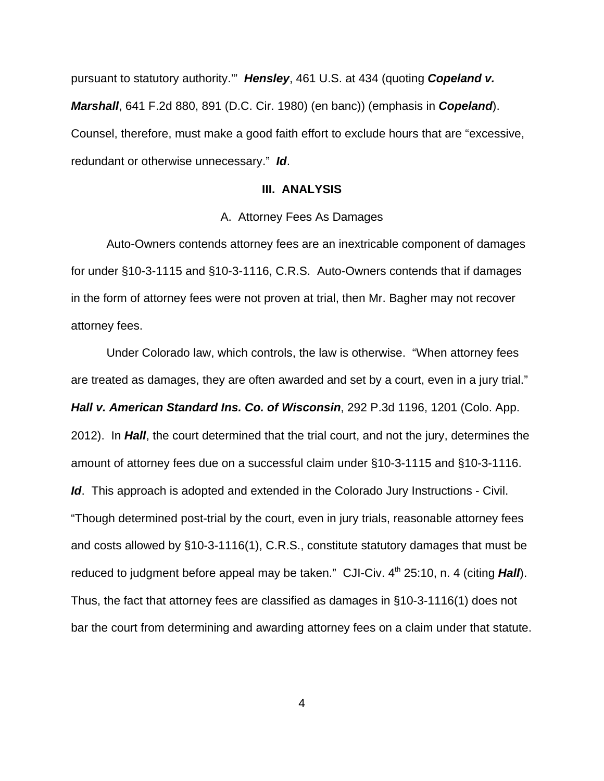pursuant to statutory authority.'" **Hensley**, 461 U.S. at 434 (quoting **Copeland v. Marshall**, 641 F.2d 880, 891 (D.C. Cir. 1980) (en banc)) (emphasis in **Copeland**). Counsel, therefore, must make a good faith effort to exclude hours that are "excessive, redundant or otherwise unnecessary." **Id**.

### **III. ANALYSIS**

## A. Attorney Fees As Damages

Auto-Owners contends attorney fees are an inextricable component of damages for under §10-3-1115 and §10-3-1116, C.R.S. Auto-Owners contends that if damages in the form of attorney fees were not proven at trial, then Mr. Bagher may not recover attorney fees.

Under Colorado law, which controls, the law is otherwise. "When attorney fees are treated as damages, they are often awarded and set by a court, even in a jury trial." **Hall v. American Standard Ins. Co. of Wisconsin**, 292 P.3d 1196, 1201 (Colo. App. 2012). In **Hall**, the court determined that the trial court, and not the jury, determines the amount of attorney fees due on a successful claim under §10-3-1115 and §10-3-1116. **Id**. This approach is adopted and extended in the Colorado Jury Instructions - Civil. "Though determined post-trial by the court, even in jury trials, reasonable attorney fees and costs allowed by §10-3-1116(1), C.R.S., constitute statutory damages that must be reduced to judgment before appeal may be taken." CJI-Civ. 4<sup>th</sup> 25:10, n. 4 (citing *Hall*). Thus, the fact that attorney fees are classified as damages in §10-3-1116(1) does not bar the court from determining and awarding attorney fees on a claim under that statute.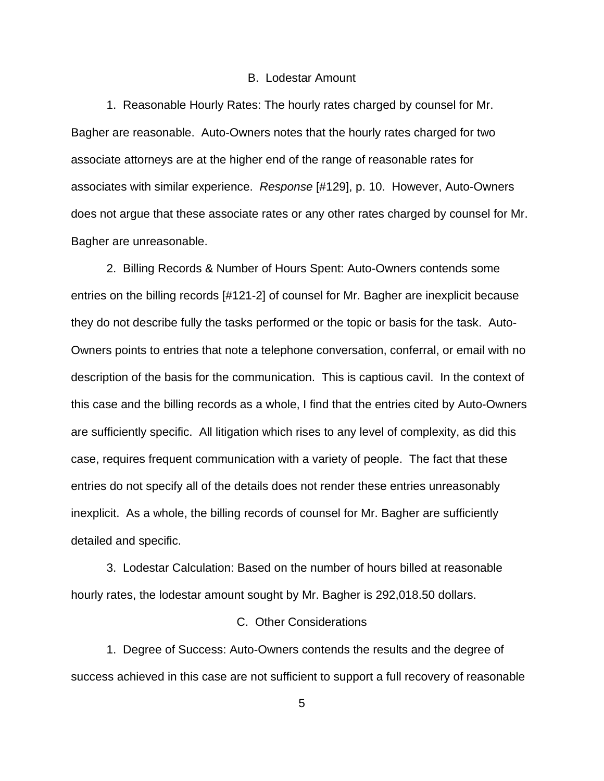#### B. Lodestar Amount

1. Reasonable Hourly Rates: The hourly rates charged by counsel for Mr. Bagher are reasonable. Auto-Owners notes that the hourly rates charged for two associate attorneys are at the higher end of the range of reasonable rates for associates with similar experience. Response [#129], p. 10. However, Auto-Owners does not argue that these associate rates or any other rates charged by counsel for Mr. Bagher are unreasonable.

2. Billing Records & Number of Hours Spent: Auto-Owners contends some entries on the billing records [#121-2] of counsel for Mr. Bagher are inexplicit because they do not describe fully the tasks performed or the topic or basis for the task. Auto-Owners points to entries that note a telephone conversation, conferral, or email with no description of the basis for the communication. This is captious cavil. In the context of this case and the billing records as a whole, I find that the entries cited by Auto-Owners are sufficiently specific. All litigation which rises to any level of complexity, as did this case, requires frequent communication with a variety of people. The fact that these entries do not specify all of the details does not render these entries unreasonably inexplicit. As a whole, the billing records of counsel for Mr. Bagher are sufficiently detailed and specific.

3. Lodestar Calculation: Based on the number of hours billed at reasonable hourly rates, the lodestar amount sought by Mr. Bagher is 292,018.50 dollars.

#### C. Other Considerations

1. Degree of Success: Auto-Owners contends the results and the degree of success achieved in this case are not sufficient to support a full recovery of reasonable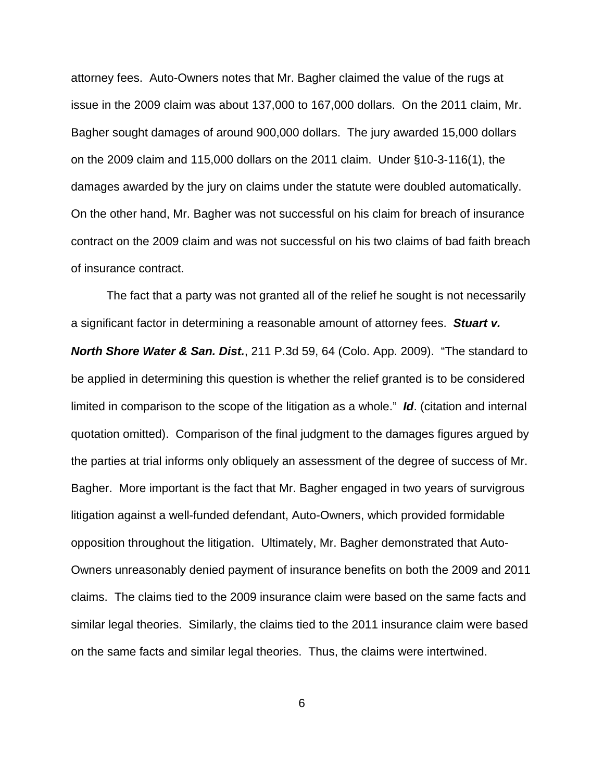attorney fees. Auto-Owners notes that Mr. Bagher claimed the value of the rugs at issue in the 2009 claim was about 137,000 to 167,000 dollars. On the 2011 claim, Mr. Bagher sought damages of around 900,000 dollars. The jury awarded 15,000 dollars on the 2009 claim and 115,000 dollars on the 2011 claim. Under §10-3-116(1), the damages awarded by the jury on claims under the statute were doubled automatically. On the other hand, Mr. Bagher was not successful on his claim for breach of insurance contract on the 2009 claim and was not successful on his two claims of bad faith breach of insurance contract.

The fact that a party was not granted all of the relief he sought is not necessarily a significant factor in determining a reasonable amount of attorney fees. **Stuart v. North Shore Water & San. Dist.**, 211 P.3d 59, 64 (Colo. App. 2009). "The standard to be applied in determining this question is whether the relief granted is to be considered limited in comparison to the scope of the litigation as a whole." **Id**. (citation and internal quotation omitted). Comparison of the final judgment to the damages figures argued by the parties at trial informs only obliquely an assessment of the degree of success of Mr. Bagher. More important is the fact that Mr. Bagher engaged in two years of survigrous litigation against a well-funded defendant, Auto-Owners, which provided formidable opposition throughout the litigation. Ultimately, Mr. Bagher demonstrated that Auto-Owners unreasonably denied payment of insurance benefits on both the 2009 and 2011 claims. The claims tied to the 2009 insurance claim were based on the same facts and similar legal theories. Similarly, the claims tied to the 2011 insurance claim were based on the same facts and similar legal theories. Thus, the claims were intertwined.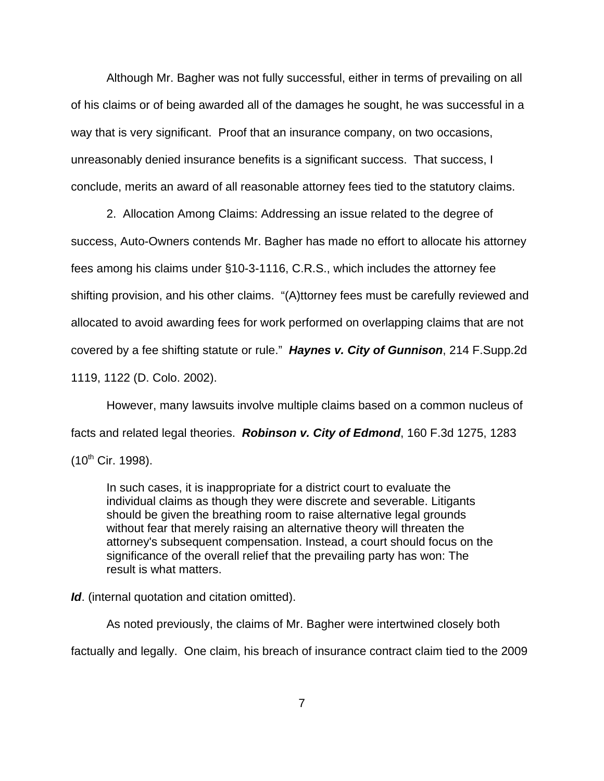Although Mr. Bagher was not fully successful, either in terms of prevailing on all of his claims or of being awarded all of the damages he sought, he was successful in a way that is very significant. Proof that an insurance company, on two occasions, unreasonably denied insurance benefits is a significant success. That success, I conclude, merits an award of all reasonable attorney fees tied to the statutory claims.

2. Allocation Among Claims: Addressing an issue related to the degree of success, Auto-Owners contends Mr. Bagher has made no effort to allocate his attorney fees among his claims under §10-3-1116, C.R.S., which includes the attorney fee shifting provision, and his other claims. "(A)ttorney fees must be carefully reviewed and allocated to avoid awarding fees for work performed on overlapping claims that are not covered by a fee shifting statute or rule." **Haynes v. City of Gunnison**, 214 F.Supp.2d 1119, 1122 (D. Colo. 2002).

However, many lawsuits involve multiple claims based on a common nucleus of facts and related legal theories. **Robinson v. City of Edmond**, 160 F.3d 1275, 1283  $(10^{th}$  Cir. 1998).

In such cases, it is inappropriate for a district court to evaluate the individual claims as though they were discrete and severable. Litigants should be given the breathing room to raise alternative legal grounds without fear that merely raising an alternative theory will threaten the attorney's subsequent compensation. Instead, a court should focus on the significance of the overall relief that the prevailing party has won: The result is what matters.

**Id**. (internal quotation and citation omitted).

As noted previously, the claims of Mr. Bagher were intertwined closely both factually and legally. One claim, his breach of insurance contract claim tied to the 2009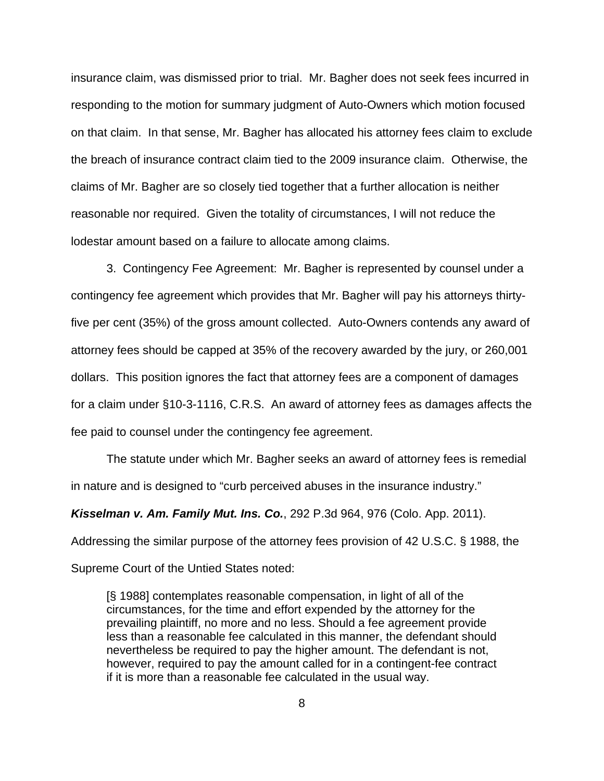insurance claim, was dismissed prior to trial. Mr. Bagher does not seek fees incurred in responding to the motion for summary judgment of Auto-Owners which motion focused on that claim. In that sense, Mr. Bagher has allocated his attorney fees claim to exclude the breach of insurance contract claim tied to the 2009 insurance claim. Otherwise, the claims of Mr. Bagher are so closely tied together that a further allocation is neither reasonable nor required. Given the totality of circumstances, I will not reduce the lodestar amount based on a failure to allocate among claims.

3. Contingency Fee Agreement: Mr. Bagher is represented by counsel under a contingency fee agreement which provides that Mr. Bagher will pay his attorneys thirtyfive per cent (35%) of the gross amount collected. Auto-Owners contends any award of attorney fees should be capped at 35% of the recovery awarded by the jury, or 260,001 dollars. This position ignores the fact that attorney fees are a component of damages for a claim under §10-3-1116, C.R.S. An award of attorney fees as damages affects the fee paid to counsel under the contingency fee agreement.

The statute under which Mr. Bagher seeks an award of attorney fees is remedial in nature and is designed to "curb perceived abuses in the insurance industry."

**Kisselman v. Am. Family Mut. Ins. Co.**, 292 P.3d 964, 976 (Colo. App. 2011).

Addressing the similar purpose of the attorney fees provision of 42 U.S.C. § 1988, the

Supreme Court of the Untied States noted:

[§ 1988] contemplates reasonable compensation, in light of all of the circumstances, for the time and effort expended by the attorney for the prevailing plaintiff, no more and no less. Should a fee agreement provide less than a reasonable fee calculated in this manner, the defendant should nevertheless be required to pay the higher amount. The defendant is not, however, required to pay the amount called for in a contingent-fee contract if it is more than a reasonable fee calculated in the usual way.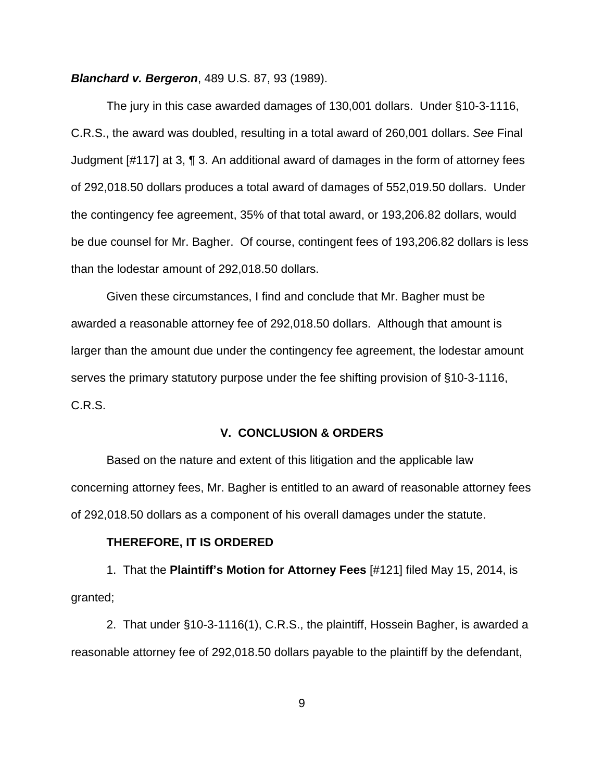**Blanchard v. Bergeron**, 489 U.S. 87, 93 (1989).

The jury in this case awarded damages of 130,001 dollars. Under §10-3-1116, C.R.S., the award was doubled, resulting in a total award of 260,001 dollars. See Final Judgment [#117] at 3, ¶ 3. An additional award of damages in the form of attorney fees of 292,018.50 dollars produces a total award of damages of 552,019.50 dollars. Under the contingency fee agreement, 35% of that total award, or 193,206.82 dollars, would be due counsel for Mr. Bagher. Of course, contingent fees of 193,206.82 dollars is less than the lodestar amount of 292,018.50 dollars.

Given these circumstances, I find and conclude that Mr. Bagher must be awarded a reasonable attorney fee of 292,018.50 dollars. Although that amount is larger than the amount due under the contingency fee agreement, the lodestar amount serves the primary statutory purpose under the fee shifting provision of §10-3-1116, C.R.S.

### **V. CONCLUSION & ORDERS**

Based on the nature and extent of this litigation and the applicable law concerning attorney fees, Mr. Bagher is entitled to an award of reasonable attorney fees of 292,018.50 dollars as a component of his overall damages under the statute.

## **THEREFORE, IT IS ORDERED**

1. That the **Plaintiff's Motion for Attorney Fees** [#121] filed May 15, 2014, is granted;

2. That under §10-3-1116(1), C.R.S., the plaintiff, Hossein Bagher, is awarded a reasonable attorney fee of 292,018.50 dollars payable to the plaintiff by the defendant,